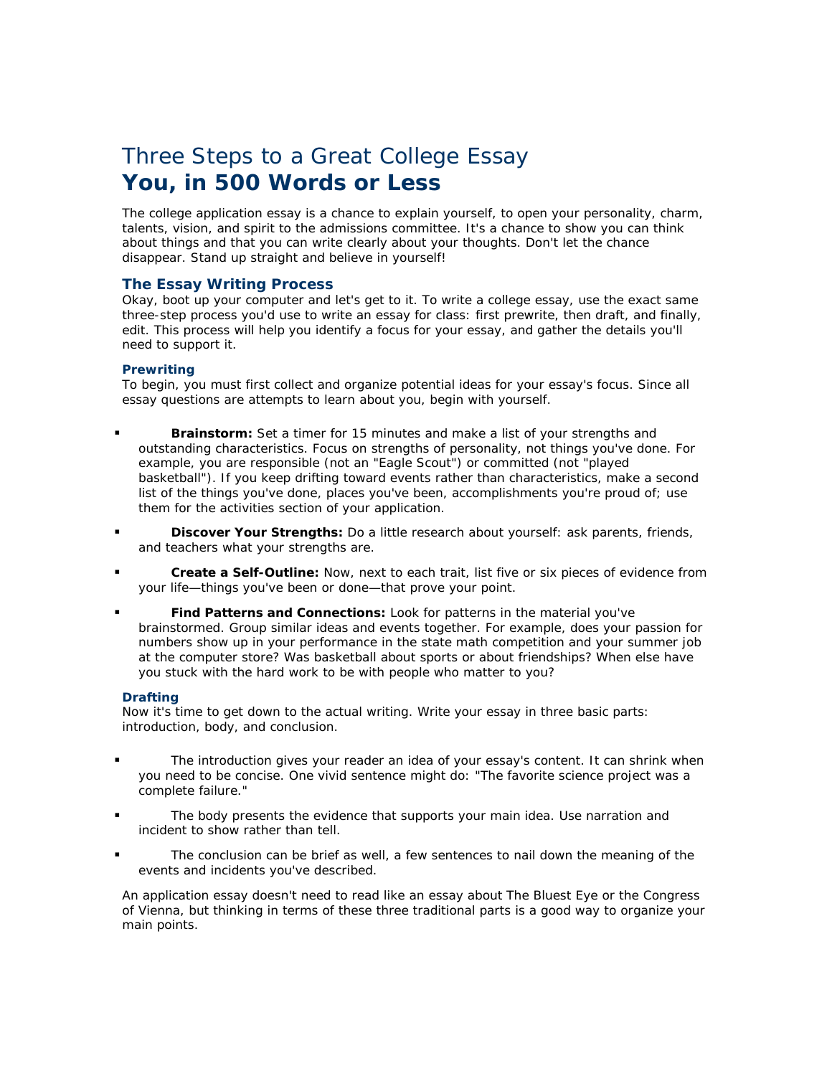# Three Steps to a Great College Essay **You, in 500 Words or Less**

The college application essay is a chance to explain yourself, to open your personality, charm, talents, vision, and spirit to the admissions committee. It's a chance to show you can think about things and that you can write clearly about your thoughts. Don't let the chance disappear. Stand up straight and believe in yourself!

## **The Essay Writing Process**

Okay, boot up your computer and let's get to it. To write a college essay, use the exact same three-step process you'd use to write an essay for class: first prewrite, then draft, and finally, edit. This process will help you identify a focus for your essay, and gather the details you'll need to support it.

### **Prewriting**

To begin, you must first collect and organize potential ideas for your essay's focus. Since all essay questions are attempts to learn about you, begin with yourself.

- **Brainstorm:** Set a timer for 15 minutes and make a list of your strengths and outstanding characteristics. Focus on strengths of personality, not things you've done. For example, you are responsible (not an "Eagle Scout") or committed (not "played basketball"). If you keep drifting toward events rather than characteristics, make a second list of the things you've done, places you've been, accomplishments you're proud of; use them for the activities section of your application.
- **Discover Your Strengths:** Do a little research about yourself: ask parents, friends, and teachers what your strengths are.
- **Create a Self-Outline:** Now, next to each trait, list five or six pieces of evidence from your life—things you've been or done—that prove your point.
- **Find Patterns and Connections:** Look for patterns in the material you've brainstormed. Group similar ideas and events together. For example, does your passion for numbers show up in your performance in the state math competition and your summer job at the computer store? Was basketball about sports or about friendships? When else have you stuck with the hard work to be with people who matter to you?

#### **Drafting**

Now it's time to get down to the actual writing. Write your essay in three basic parts: introduction, body, and conclusion.

- The introduction gives your reader an idea of your essay's content. It can shrink when you need to be concise. One vivid sentence might do: "The favorite science project was a complete failure."
- The body presents the evidence that supports your main idea. Use narration and incident to show rather than tell.
- The conclusion can be brief as well, a few sentences to nail down the meaning of the events and incidents you've described.

An application essay doesn't need to read like an essay about *The Bluest Eye* or the Congress of Vienna, but thinking in terms of these three traditional parts is a good way to organize your main points.